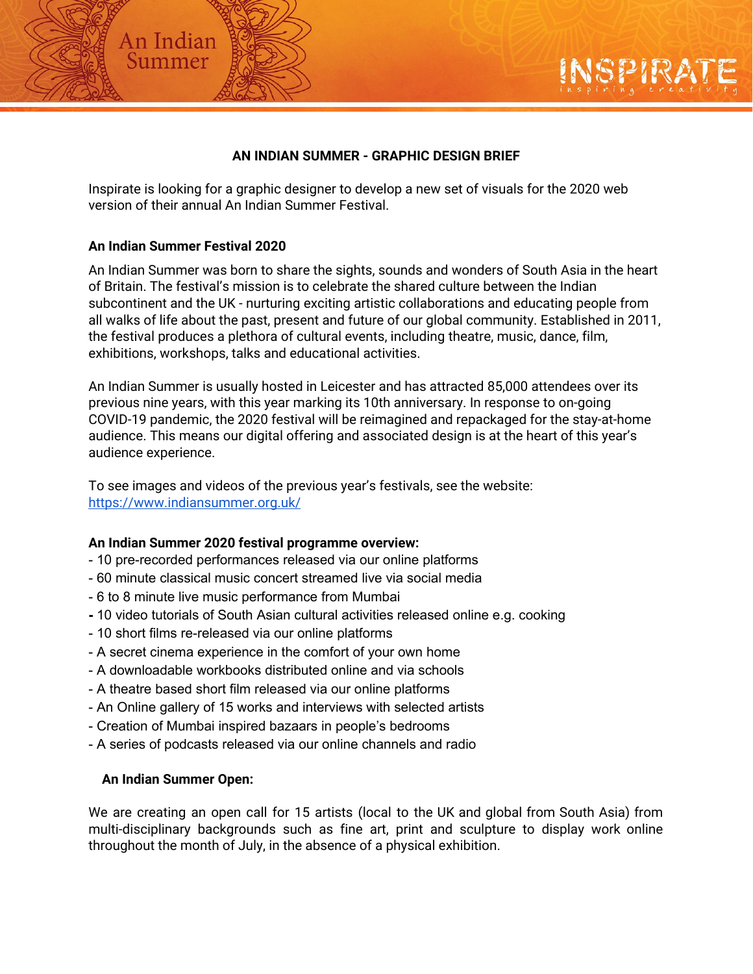### **AN INDIAN SUMMER - GRAPHIC DESIGN BRIEF**

Inspirate is looking for a graphic designer to develop a new set of visuals for the 2020 web version of their annual An Indian Summer Festival.

### **An Indian Summer Festival 2020**

An Indian Summer

An Indian Summer was born to share the sights, sounds and wonders of South Asia in the heart of Britain. The festival's mission is to celebrate the shared culture between the Indian subcontinent and the UK - nurturing exciting artistic collaborations and educating people from all walks of life about the past, present and future of our global community. Established in 2011, the festival produces a plethora of cultural events, including theatre, music, dance, film, exhibitions, workshops, talks and educational activities.

An Indian Summer is usually hosted in Leicester and has attracted 85,000 attendees over its previous nine years, with this year marking its 10th anniversary. In response to on-going COVID-19 pandemic, the 2020 festival will be reimagined and repackaged for the stay-at-home audience. This means our digital offering and associated design is at the heart of this year's audience experience.

To see images and videos of the previous year's festivals, see the website: <https://www.indiansummer.org.uk/>

#### **An Indian Summer 2020 festival programme overview:**

- 10 pre-recorded performances released via our online platforms
- 60 minute classical music concert streamed live via social media
- 6 to 8 minute live music performance from Mumbai
- **-** 10 video tutorials of South Asian cultural activities released online e.g. cooking
- 10 short films re-released via our online platforms
- A secret cinema experience in the comfort of your own home
- A downloadable workbooks distributed online and via schools
- A theatre based short film released via our online platforms
- An Online gallery of 15 works and interviews with selected artists
- Creation of Mumbai inspired bazaars in people's bedrooms
- A series of podcasts released via our online channels and radio

#### **An Indian Summer Open:**

We are creating an open call for 15 artists (local to the UK and global from South Asia) from multi-disciplinary backgrounds such as fine art, print and sculpture to display work online throughout the month of July, in the absence of a physical exhibition.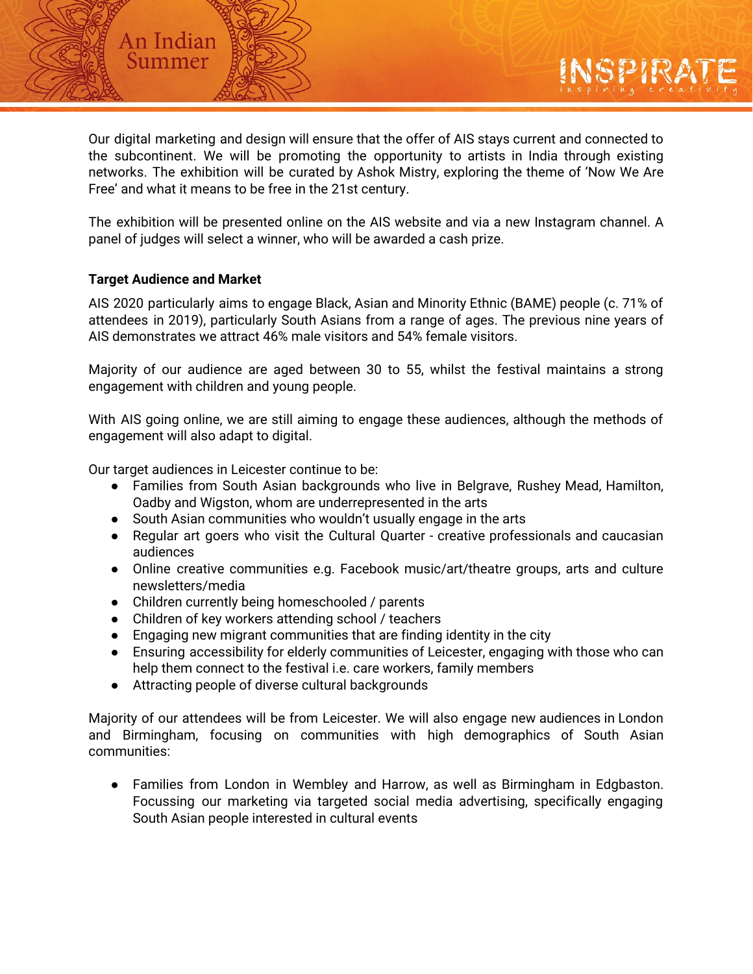Our digital marketing and design will ensure that the offer of AIS stays current and connected to the subcontinent. We will be promoting the opportunity to artists in India through existing networks. The exhibition will be curated by Ashok Mistry, exploring the theme of 'Now We Are Free' and what it means to be free in the 21st century.

The exhibition will be presented online on the AIS website and via a new Instagram channel. A panel of judges will select a winner, who will be awarded a cash prize.

#### **Target Audience and Market**

An Indian Summer

AIS 2020 particularly aims to engage Black, Asian and Minority Ethnic (BAME) people (c. 71% of attendees in 2019), particularly South Asians from a range of ages. The previous nine years of AIS demonstrates we attract 46% male visitors and 54% female visitors.

Majority of our audience are aged between 30 to 55, whilst the festival maintains a strong engagement with children and young people.

With AIS going online, we are still aiming to engage these audiences, although the methods of engagement will also adapt to digital.

Our target audiences in Leicester continue to be:

- Families from South Asian backgrounds who live in Belgrave, Rushey Mead, Hamilton, Oadby and Wigston, whom are underrepresented in the arts
- South Asian communities who wouldn't usually engage in the arts
- Regular art goers who visit the Cultural Quarter creative professionals and caucasian audiences
- Online creative communities e.g. Facebook music/art/theatre groups, arts and culture newsletters/media
- Children currently being homeschooled / parents
- Children of key workers attending school / teachers
- Engaging new migrant communities that are finding identity in the city
- Ensuring accessibility for elderly communities of Leicester, engaging with those who can help them connect to the festival i.e. care workers, family members
- Attracting people of diverse cultural backgrounds

Majority of our attendees will be from Leicester. We will also engage new audiences in London and Birmingham, focusing on communities with high demographics of South Asian communities:

● Families from London in Wembley and Harrow, as well as Birmingham in Edgbaston. Focussing our marketing via targeted social media advertising, specifically engaging South Asian people interested in cultural events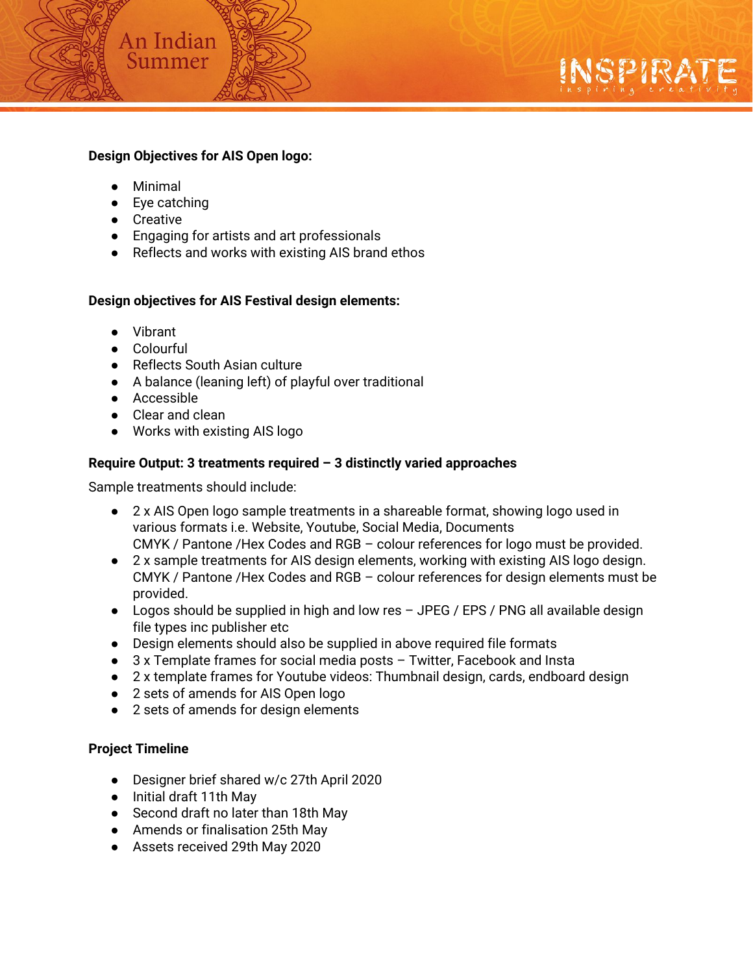### **Design Objectives for AIS Open logo:**

- Minimal
- Eye catching

An Indian Summer

- Creative
- Engaging for artists and art professionals
- Reflects and works with existing AIS brand ethos

### **Design objectives for AIS Festival design elements:**

- Vibrant
- Colourful
- Reflects South Asian culture
- A balance (leaning left) of playful over traditional
- Accessible
- Clear and clean
- Works with existing AIS logo

# **Require Output: 3 treatments required – 3 distinctly varied approaches**

Sample treatments should include:

- 2 x AIS Open logo sample treatments in a shareable format, showing logo used in various formats i.e. Website, Youtube, Social Media, Documents CMYK / Pantone /Hex Codes and RGB – colour references for logo must be provided.
- 2 x sample treatments for AIS design elements, working with existing AIS logo design. CMYK / Pantone /Hex Codes and RGB – colour references for design elements must be provided.
- $\bullet$  Logos should be supplied in high and low res  $-$  JPEG / EPS / PNG all available design file types inc publisher etc
- Design elements should also be supplied in above required file formats
- 3 x Template frames for social media posts Twitter, Facebook and Insta
- 2 x template frames for Youtube videos: Thumbnail design, cards, endboard design
- 2 sets of amends for AIS Open logo
- 2 sets of amends for design elements

# **Project Timeline**

- Designer brief shared w/c 27th April 2020
- Initial draft 11th May
- Second draft no later than 18th May
- Amends or finalisation 25th May
- Assets received 29th May 2020